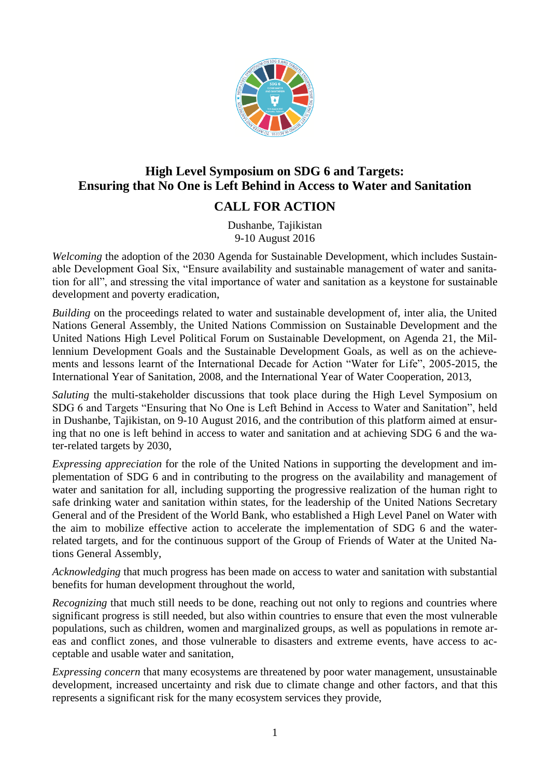

## **High Level Symposium on SDG 6 and Targets: Ensuring that No One is Left Behind in Access to Water and Sanitation CALL FOR ACTION**

## Dushanbe, Tajikistan 9-10 August 2016

*Welcoming* the adoption of the 2030 Agenda for Sustainable Development, which includes Sustainable Development Goal Six, "Ensure availability and sustainable management of water and sanitation for all", and stressing the vital importance of water and sanitation as a keystone for sustainable development and poverty eradication,

*Building* on the proceedings related to water and sustainable development of, inter alia, the United Nations General Assembly, the United Nations Commission on Sustainable Development and the United Nations High Level Political Forum on Sustainable Development, on Agenda 21, the Millennium Development Goals and the Sustainable Development Goals, as well as on the achievements and lessons learnt of the International Decade for Action "Water for Life", 2005-2015, the International Year of Sanitation, 2008, and the International Year of Water Cooperation, 2013,

*Saluting* the multi-stakeholder discussions that took place during the High Level Symposium on SDG 6 and Targets "Ensuring that No One is Left Behind in Access to Water and Sanitation", held in Dushanbe, Tajikistan, on 9-10 August 2016, and the contribution of this platform aimed at ensuring that no one is left behind in access to water and sanitation and at achieving SDG 6 and the water-related targets by 2030,

*Expressing appreciation* for the role of the United Nations in supporting the development and implementation of SDG 6 and in contributing to the progress on the availability and management of water and sanitation for all, including supporting the progressive realization of the human right to safe drinking water and sanitation within states, for the leadership of the United Nations Secretary General and of the President of the World Bank, who established a High Level Panel on Water with the aim to mobilize effective action to accelerate the implementation of SDG 6 and the waterrelated targets, and for the continuous support of the Group of Friends of Water at the United Nations General Assembly,

*Acknowledging* that much progress has been made on access to water and sanitation with substantial benefits for human development throughout the world,

*Recognizing* that much still needs to be done, reaching out not only to regions and countries where significant progress is still needed, but also within countries to ensure that even the most vulnerable populations, such as children, women and marginalized groups, as well as populations in remote areas and conflict zones, and those vulnerable to disasters and extreme events, have access to acceptable and usable water and sanitation,

*Expressing concern* that many ecosystems are threatened by poor water management, unsustainable development, increased uncertainty and risk due to climate change and other factors, and that this represents a significant risk for the many ecosystem services they provide,